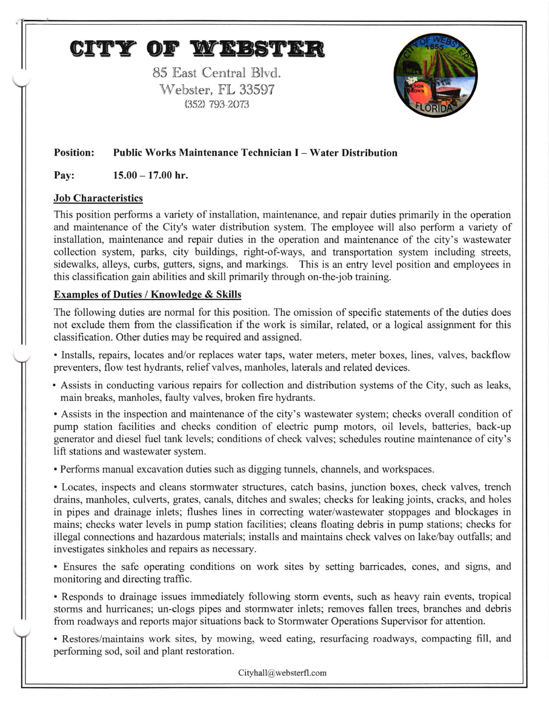## CITY OF WEBSTER

85 East Central Blyd. Webster, FL 33597 (352) 793 2073



## Position: Public Works Maintenance Technician I - Water Distribution

Pay:  $15.00 - 17.00$  hr.

## Job Charaeteristics

This position performs a variety of installation, maintenance, and repair duties primarily in the operation and maintenance of the City's water distribution system. The employee will also perform a variety of installation, maintenance and repair duties in the operation and maintenance of the city's wastewater collection system, parks, city buildings, right-of-ways, and transportation system including streets, sidewalks, alleys, curbs, gutters, signs, and markings. This is an entry level position and employees in this classification gain abilities and skill primarily through on-the-job training.

## Examples of Duties / Knowledge & Skills

The following duties are normal for this position. The omission of specific statements of the duties does not exclude them fiom the classification if the work is similar, related, or a logical assignment for this classification. Other duties may be required and assigned.

. lnstalls, repairs, locates and/or replaces water taps, water meters, meter boxes, lines, valves, backflow preventers, flow test hydrants, relief valves, manholes, laterals and related devices.

. Assists in conducting various repairs for collection and distribution systems of the City, such as leaks, main breaks, manholes, faulty valves, broken fire hydrants.

. Assists in the inspection and maintenance of the city's wastewater system; checks overall condition of pump station facilities and checks condition of electric pump motors, oil levels, batteries, back-up generator and diesel fuel tank levels; conditions of check valves; schedules routine maintenance of city's lift stations and wastewater system.

. Perlorms manual excavation duties such as digging tunnels, channels, and workspaces.

. Locates, inspects and cleans stormwater structures, catch basins, junction boxes, check valves, trench drains, manholes, culverts, grates, canals, ditches and swales; checks for leaking joints, cracks, and holes in pipes and drainage inlets; flushes lines in correcting water/wastewater stoppages and blockages in mains; checks water levels in pump station facilities; cleans floating debris in pump stations; checks for illegal connections and hazardous materials; installs and maintains check valves on lake/bay outfalls; and investigates sinkholes and repairs as necessary.

. Ensures the safe operating conditions on work sites by setting barricades, cones, and signs, and monitoring and directing traffic.

. Responds to drainage issues immediately following storm events, such as heavy rain events, tropical storms and hurricanes; un-clogs pipes and stormwater inlets; rernoves fallen trees, branches and debris from roadways and reports major situations back to Stormwater Operations Supervisor for attention.

. Restores/maintains work sites, by mowing, weed eating, resurfacing roadways, compacting fill, and performing sod, soil and plant restoration.

Cityhall@websterfl.com